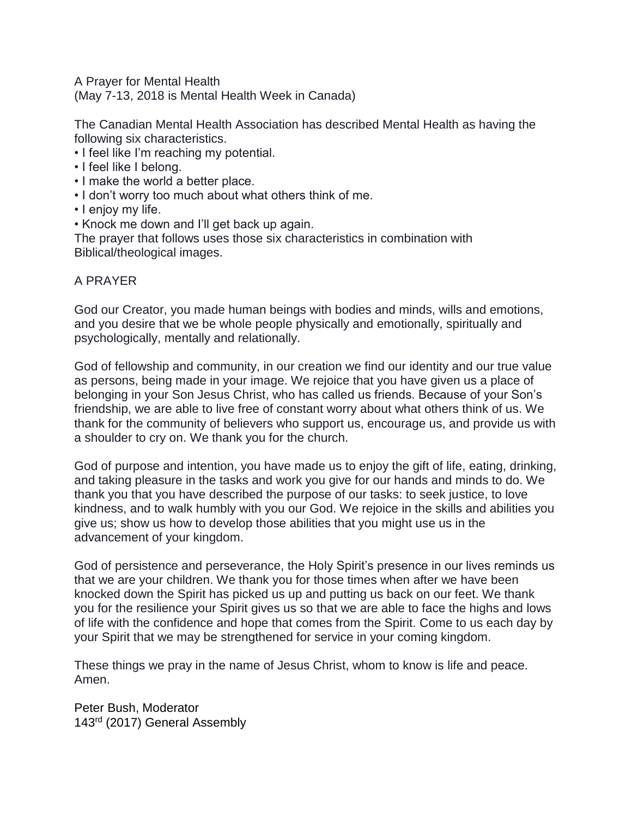A Prayer for Mental Health

(May 7-13, 2018 is Mental Health Week in Canada)

The Canadian Mental Health Association has described Mental Health as having the following six characteristics.

- I feel like I'm reaching my potential.
- I feel like I belong.
- I make the world a better place.
- I don't worry too much about what others think of me.
- I enjoy my life.
- Knock me down and I'll get back up again.

The prayer that follows uses those six characteristics in combination with Biblical/theological images.

## A PRAYER

God our Creator, you made human beings with bodies and minds, wills and emotions, and you desire that we be whole people physically and emotionally, spiritually and psychologically, mentally and relationally.

God of fellowship and community, in our creation we find our identity and our true value as persons, being made in your image. We rejoice that you have given us a place of belonging in your Son Jesus Christ, who has called us friends. Because of your Son's friendship, we are able to live free of constant worry about what others think of us. We thank for the community of believers who support us, encourage us, and provide us with a shoulder to cry on. We thank you for the church.

God of purpose and intention, you have made us to enjoy the gift of life, eating, drinking, and taking pleasure in the tasks and work you give for our hands and minds to do. We thank you that you have described the purpose of our tasks: to seek justice, to love kindness, and to walk humbly with you our God. We rejoice in the skills and abilities you give us; show us how to develop those abilities that you might use us in the advancement of your kingdom.

God of persistence and perseverance, the Holy Spirit's presence in our lives reminds us that we are your children. We thank you for those times when after we have been knocked down the Spirit has picked us up and putting us back on our feet. We thank you for the resilience your Spirit gives us so that we are able to face the highs and lows of life with the confidence and hope that comes from the Spirit. Come to us each day by your Spirit that we may be strengthened for service in your coming kingdom.

These things we pray in the name of Jesus Christ, whom to know is life and peace. Amen.

Peter Bush, Moderator 143rd (2017) General Assembly